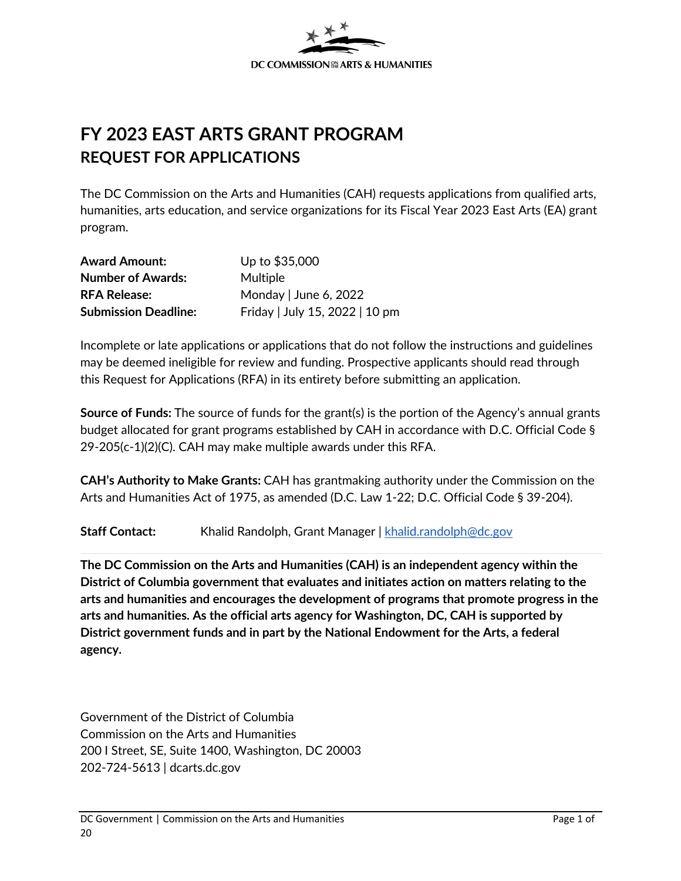<span id="page-0-0"></span>

# **FY 2023 EAST ARTS GRANT PROGRAM REQUEST FOR APPLICATIONS**

The DC Commission on the Arts and Humanities (CAH) requests applications from qualified arts, humanities, arts education, and service organizations for its Fiscal Year 2023 East Arts (EA) grant program.

| <b>Award Amount:</b>        | Up to \$35,000                 |
|-----------------------------|--------------------------------|
| <b>Number of Awards:</b>    | Multiple                       |
| <b>RFA Release:</b>         | Monday   June 6, 2022          |
| <b>Submission Deadline:</b> | Friday   July 15, 2022   10 pm |

Incomplete or late applications or applications that do not follow the instructions and guidelines may be deemed ineligible for review and funding. Prospective applicants should read through this Request for Applications (RFA) in its entirety before submitting an application.

**Source of Funds:** The source of funds for the grant(s) is the portion of the Agency's annual grants budget allocated for grant programs established by CAH in accordance with D.C. Official Code § 29-205(c-1)(2)(C). CAH may make multiple awards under this RFA.

**CAH's Authority to Make Grants:** CAH has grantmaking authority under the Commission on the Arts and Humanities Act of 1975, as amended (D.C. Law 1-22; D.C. Official Code § 39-204).

**Staff Contact:** Khalid Randolph, Grant Manager | [khalid.randolph@dc.gov](mailto:khalid.randolph@dc.gov)

**The DC Commission on the Arts and Humanities (CAH) is an independent agency within the District of Columbia government that evaluates and initiates action on matters relating to the arts and humanities and encourages the development of programs that promote progress in the arts and humanities. As the official arts agency for Washington, DC, CAH is supported by District government funds and in part by the National Endowment for the Arts, a federal agency.** 

Government of the District of Columbia Commission on the Arts and Humanities 200 I Street, SE, Suite 1400, Washington, DC 20003 202-724-5613 | dcarts.dc.gov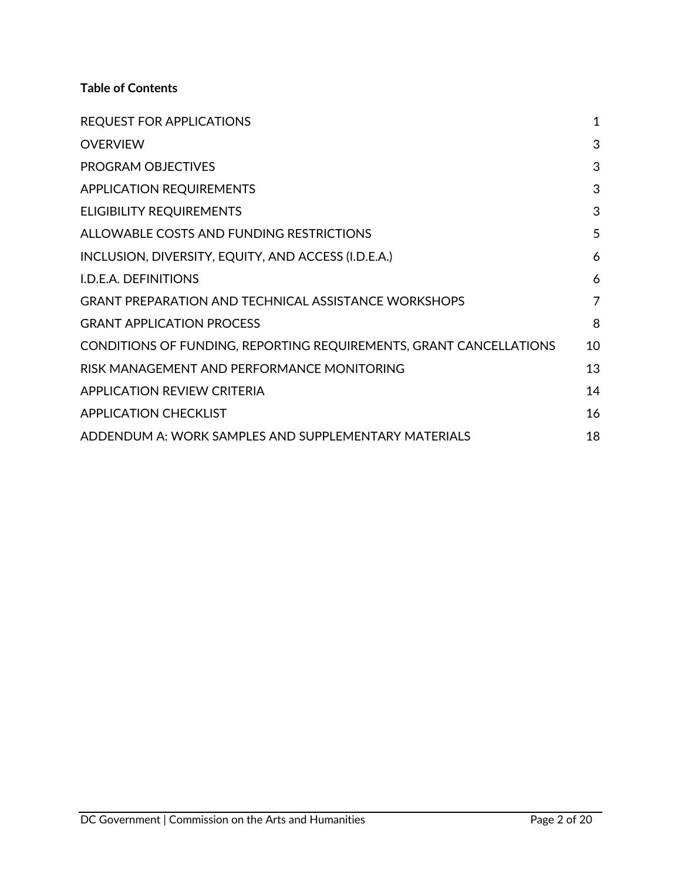## **Table of Contents**

| <b>REQUEST FOR APPLICATIONS</b>                                    | $\mathbf{1}$ |
|--------------------------------------------------------------------|--------------|
| <b>OVERVIEW</b>                                                    | 3            |
| PROGRAM OBJECTIVES                                                 | 3            |
| <b>APPLICATION REQUIREMENTS</b>                                    | 3            |
| <b>ELIGIBILITY REQUIREMENTS</b>                                    | 3            |
| ALLOWABLE COSTS AND FUNDING RESTRICTIONS                           | 5            |
| INCLUSION, DIVERSITY, EQUITY, AND ACCESS (I.D.E.A.)                | 6            |
| I.D.E.A. DEFINITIONS                                               | 6            |
| <b>GRANT PREPARATION AND TECHNICAL ASSISTANCE WORKSHOPS</b>        | 7            |
| <b>GRANT APPLICATION PROCESS</b>                                   | 8            |
| CONDITIONS OF FUNDING, REPORTING REQUIREMENTS, GRANT CANCELLATIONS | 10           |
| RISK MANAGEMENT AND PERFORMANCE MONITORING                         | 13           |
| <b>APPLICATION REVIEW CRITERIA</b>                                 | 14           |
| <b>APPLICATION CHECKLIST</b>                                       | 16           |
| ADDENDUM A: WORK SAMPLES AND SUPPLEMENTARY MATERIALS               | 18           |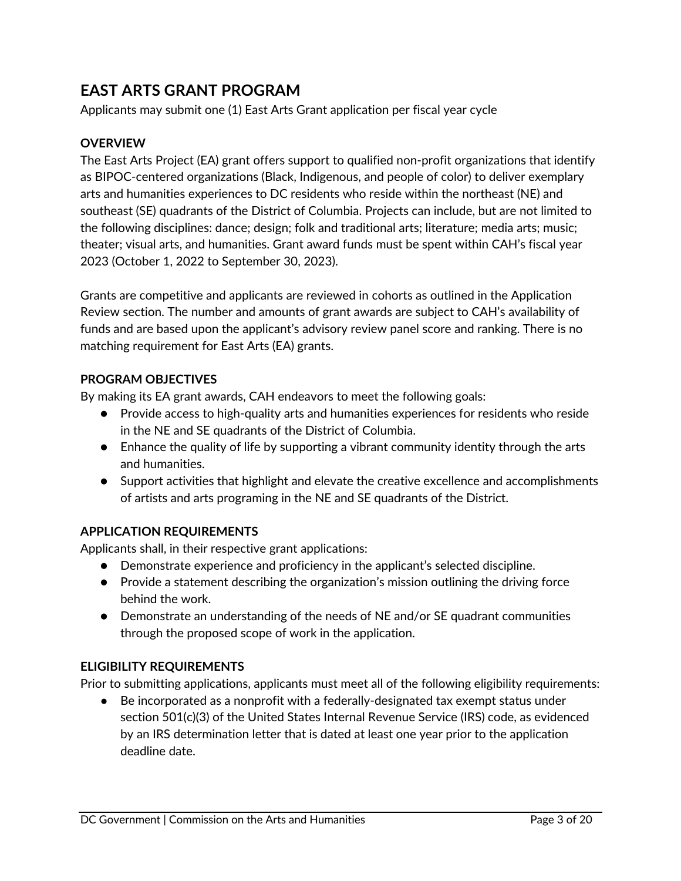## **[EAST ARTS GRANT PROGRAM](#page-17-0)**

[Applicants](#page-17-0) may submit one (1) East Arts Grant application per fiscal year cycle

#### <span id="page-2-0"></span>**OVERVIEW**

The East Arts Project (EA) grant offers support to qualified non-profit organizations that identify as BIPOC-centered organizations (Black, Indigenous, and people of color) to deliver exemplary arts and humanities experiences to DC residents who reside within the northeast (NE) and southeast (SE) quadrants of the District of Columbia. Projects can include, but are not limited to the following disciplines: dance; design; folk and traditional arts; literature; media arts; music; theater; visual arts, and humanities. Grant award funds must be spent within CAH's fiscal year 2023 (October 1, 2022 to September 30, 2023).

Grants are competitive and applicants are reviewed in cohorts as outlined in the Application Review section. The number and amounts of grant awards are subject to CAH's availability of funds and are based upon the applicant's advisory review panel score and ranking. There is no matching requirement for East Arts (EA) grants.

#### **PROGRAM OBJECTIVES**

By making its EA grant awards, CAH endeavors to meet the following goals:

- <span id="page-2-1"></span>● Provide access to high-quality arts and humanities experiences for residents who reside in the NE and SE quadrants of the District of Columbia.
- Enhance the quality of life by supporting a vibrant community identity through the arts and humanities.
- Support activities that highlight and elevate the creative excellence and accomplishments of artists and arts programing in the NE and SE quadrants of the District.

#### **APPLICATION REQUIREMENTS**

Applicants shall, in their respective grant applications:

- <span id="page-2-2"></span>● Demonstrate experience and proficiency in the applicant's selected discipline.
- Provide a statement describing the organization's mission outlining the driving force behind the work.
- Demonstrate an understanding of the needs of NE and/or SE quadrant communities through the proposed scope of work in the application.

## **ELIGIBILITY REQUIREMENTS**

Prior to submitting applications, applicants must meet all of the following eligibility requirements:

<span id="page-2-3"></span>● Be incorporated as a nonprofit with a federally-designated tax exempt status under section 501(c)(3) of the United States Internal Revenue Service (IRS) code, as evidenced by an IRS determination letter that is dated at least one year prior to the application deadline date.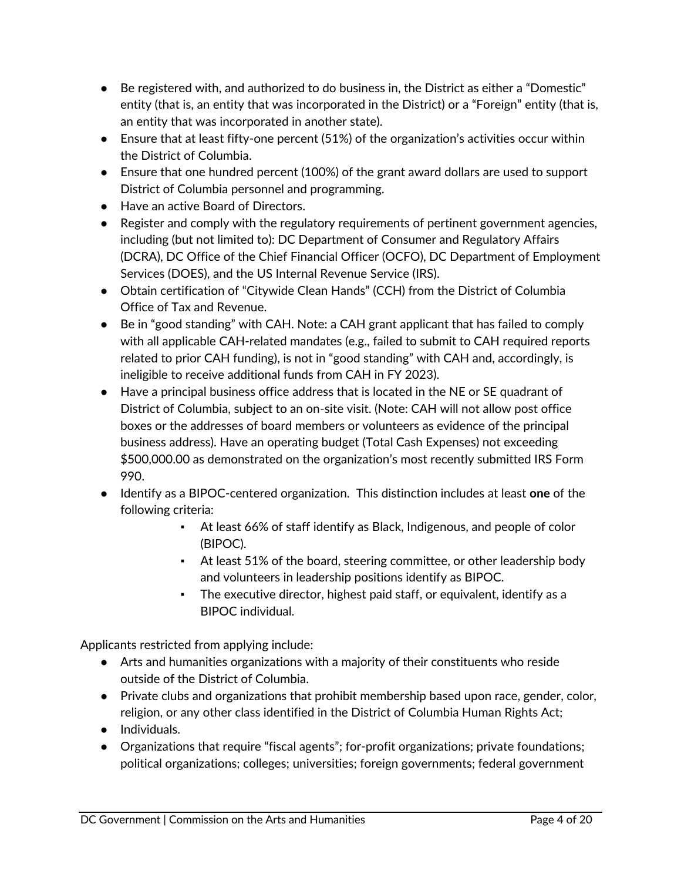- Be registered with, and authorized to do business in, the District as either a "Domestic" entity (that is, an entity that was incorporated in the District) or a "Foreign" entity (that is, an entity that was incorporated in another state).
- Ensure that at least fifty-one percent (51%) of the organization's activities occur within the District of Columbia.
- Ensure that one hundred percent (100%) of the grant award dollars are used to support District of Columbia personnel and programming.
- Have an active Board of Directors.
- Register and comply with the regulatory requirements of pertinent government agencies, including (but not limited to): DC Department of Consumer and Regulatory Affairs (DCRA), DC Office of the Chief Financial Officer (OCFO), DC Department of Employment Services (DOES), and the US Internal Revenue Service (IRS).
- Obtain certification of "Citywide Clean Hands" (CCH) from the District of Columbia Office of Tax and Revenue.
- Be in "good standing" with CAH. Note: a CAH grant applicant that has failed to comply with all applicable CAH-related mandates (e.g., failed to submit to CAH required reports related to prior CAH funding), is not in "good standing" with CAH and, accordingly, is ineligible to receive additional funds from CAH in FY 2023).
- Have a principal business office address that is located in the NE or SE quadrant of District of Columbia, subject to an on-site visit. (Note: CAH will not allow post office boxes or the addresses of board members or volunteers as evidence of the principal business address). Have an operating budget (Total Cash Expenses) not exceeding \$500,000.00 as demonstrated on the organization's most recently submitted IRS Form 990.
- Identify as a BIPOC-centered organization. This distinction includes at least **one** of the following criteria:
	- At least 66% of staff identify as Black, Indigenous, and people of color (BIPOC).
	- At least 51% of the board, steering committee, or other leadership body and volunteers in leadership positions identify as BIPOC.
	- The executive director, highest paid staff, or equivalent, identify as a BIPOC individual.

Applicants restricted from applying include:

- Arts and humanities organizations with a majority of their constituents who reside outside of the District of Columbia.
- Private clubs and organizations that prohibit membership based upon race, gender, color, religion, or any other class identified in the District of Columbia Human Rights Act;
- Individuals.
- Organizations that require "fiscal agents"; for-profit organizations; private foundations; political organizations; colleges; universities; foreign governments; federal government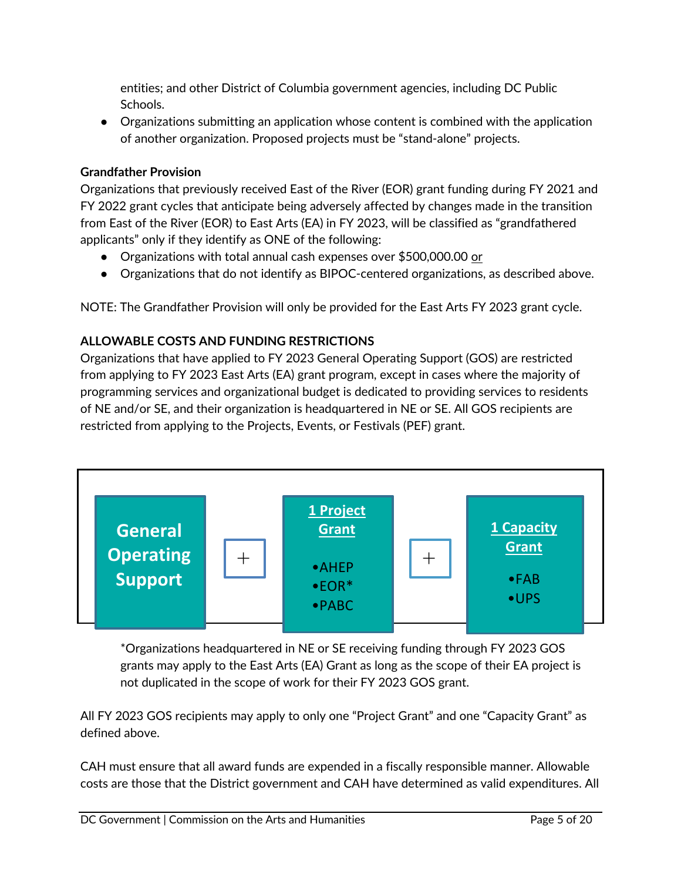entities; and other District of Columbia government agencies, including DC Public Schools.

● Organizations submitting an application whose content is combined with the application of another organization. Proposed projects must be "stand-alone" projects.

## **Grandfather Provision**

Organizations that previously received East of the River (EOR) grant funding during FY 2021 and FY 2022 grant cycles that anticipate being adversely affected by changes made in the transition from East of the River (EOR) to East Arts (EA) in FY 2023, will be classified as "grandfathered applicants" only if they identify as ONE of the following:

- Organizations with total annual cash expenses over \$500,000.00 or
- <span id="page-4-0"></span>● Organizations that do not identify as BIPOC-centered organizations, as described above.

NOTE: The Grandfather Provision will only be provided for the East Arts FY 2023 grant cycle.

## **ALLOWABLE COSTS AND FUNDING RESTRICTIONS**

Organizations that have applied to FY 2023 General Operating Support (GOS) are restricted from applying to FY 2023 East Arts (EA) grant program, except in cases where the majority of programming services and organizational budget is dedicated to providing services to residents of NE and/or SE, and their organization is headquartered in NE or SE. All GOS recipients are restricted from applying to the Projects, Events, or Festivals (PEF) grant.



\*Organizations headquartered in NE or SE receiving funding through FY 2023 GOS grants may apply to the East Arts (EA) Grant as long as the scope of their EA project is not duplicated in the scope of work for their FY 2023 GOS grant.

All FY 2023 GOS recipients may apply to only one "Project Grant" and one "Capacity Grant" as defined above.

CAH must ensure that all award funds are expended in a fiscally responsible manner. Allowable costs are those that the District government and CAH have determined as valid expenditures. All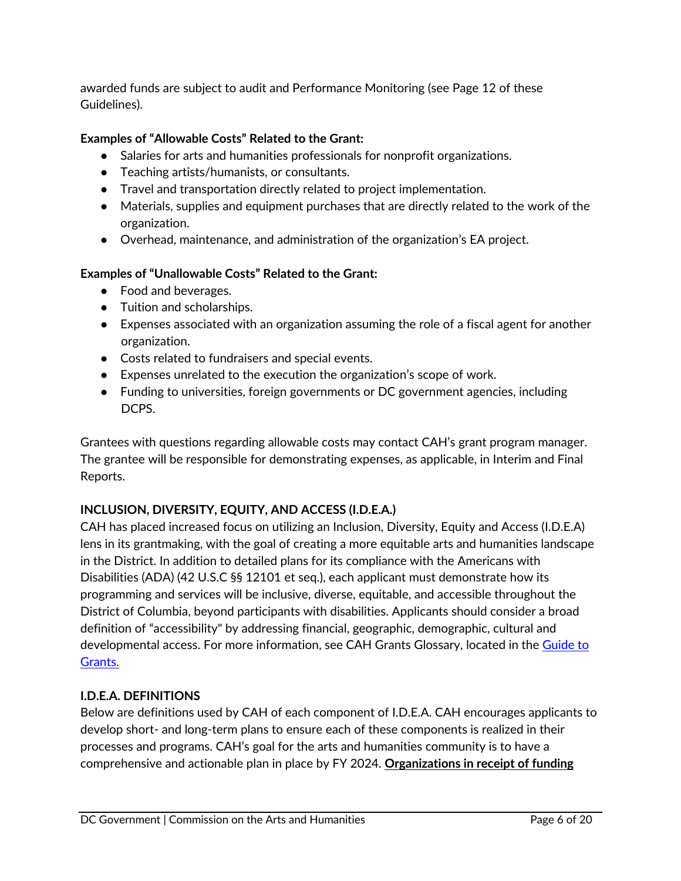awarded funds are subject to audit and Performance Monitoring (see Page 12 of these Guidelines).

## **Examples of "Allowable Costs" Related to the Grant:**

- Salaries for arts and humanities professionals for nonprofit organizations.
- Teaching artists/humanists, or consultants.
- Travel and transportation directly related to project implementation.
- Materials, supplies and equipment purchases that are directly related to the work of the organization.
- Overhead, maintenance, and administration of the organization's EA project.

#### **Examples of "Unallowable Costs" Related to the Grant:**

- Food and beverages.
- Tuition and scholarships.
- Expenses associated with an organization assuming the role of a fiscal agent for another organization.
- Costs related to fundraisers and special events.
- Expenses unrelated to the execution the organization's scope of work.
- Funding to universities, foreign governments or DC government agencies, including DCPS.

Grantees with questions regarding allowable costs may contact CAH's grant program manager. The grantee will be responsible for demonstrating expenses, as applicable, in Interim and Final Reports.

## <span id="page-5-0"></span>**INCLUSION, DIVERSITY, EQUITY, AND ACCESS (I.D.E.A.)**

CAH has placed increased focus on utilizing an Inclusion, Diversity, Equity and Access (I.D.E.A) lens in its grantmaking, with the goal of creating a more equitable arts and humanities landscape in the District. In addition to detailed plans for its compliance with the Americans with Disabilities (ADA) (42 U.S.C §§ 12101 et seq.), each applicant must demonstrate how its programming and services will be inclusive, diverse, equitable, and accessible throughout the District of Columbia, beyond participants with disabilities. Applicants should consider a broad definition of "accessibility" by addressing financial, geographic, demographic, cultural and developmental access. For more information, see CAH Grants Glossary, located in the [Guide to](https://dcarts.dc.gov/node/1579326) [Grants.](https://dcarts.dc.gov/node/1579326)

## <span id="page-5-1"></span>**I.D.E.A. DEFINITIONS**

Below are definitions used by CAH of each component of I.D.E.A. CAH encourages applicants to develop short- and long-term plans to ensure each of these components is realized in their processes and programs. CAH's goal for the arts and humanities community is to have a comprehensive and actionable plan in place by FY 2024. **Organizations in receipt of funding**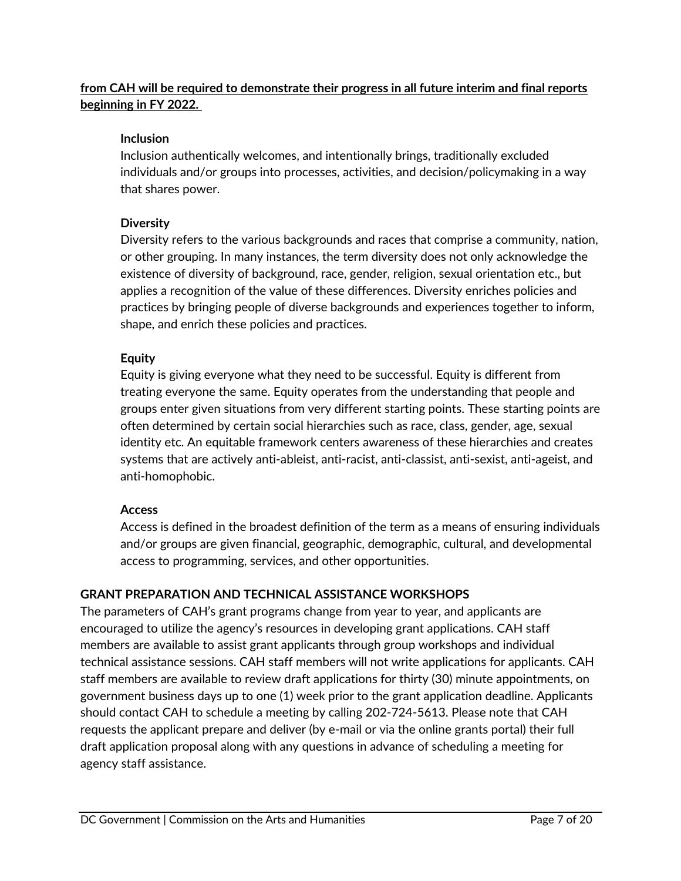## **from CAH will be required to demonstrate their progress in all future interim and final reports beginning in FY 2022.**

#### **Inclusion**

Inclusion authentically welcomes, and intentionally brings, traditionally excluded individuals and/or groups into processes, activities, and decision/policymaking in a way that shares power.

#### **Diversity**

Diversity refers to the various backgrounds and races that comprise a community, nation, or other grouping. In many instances, the term diversity does not only acknowledge the existence of diversity of background, race, gender, religion, sexual orientation etc., but applies a recognition of the value of these differences. Diversity enriches policies and practices by bringing people of diverse backgrounds and experiences together to inform, shape, and enrich these policies and practices.

#### **Equity**

Equity is giving everyone what they need to be successful. Equity is different from treating everyone the same. Equity operates from the understanding that people and groups enter given situations from very different starting points. These starting points are often determined by certain social hierarchies such as race, class, gender, age, sexual identity etc. An equitable framework centers awareness of these hierarchies and creates systems that are actively anti-ableist, anti-racist, anti-classist, anti-sexist, anti-ageist, and anti-homophobic.

## **Access**

<span id="page-6-0"></span>Access is defined in the broadest definition of the term as a means of ensuring individuals and/or groups are given financial, geographic, demographic, cultural, and developmental access to programming, services, and other opportunities.

## **GRANT PREPARATION AND TECHNICAL ASSISTANCE WORKSHOPS**

The parameters of CAH's grant programs change from year to year, and applicants are encouraged to utilize the agency's resources in developing grant applications. CAH staff members are available to assist grant applicants through group workshops and individual technical assistance sessions. CAH staff members will not write applications for applicants. CAH staff members are available to review draft applications for thirty (30) minute appointments, on government business days up to one (1) week prior to the grant application deadline. Applicants should contact CAH to schedule a meeting by calling 202-724-5613. Please note that CAH requests the applicant prepare and deliver (by e-mail or via the online grants portal) their full draft application proposal along with any questions in advance of scheduling a meeting for agency staff assistance.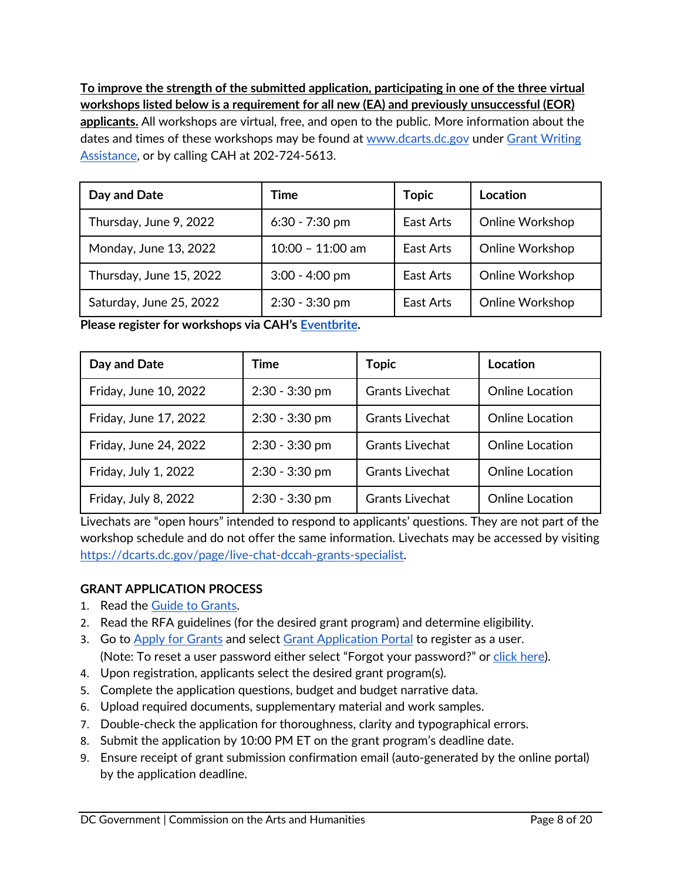**To improve the strength of the submitted application, participating in one of the three virtual workshops listed below is a requirement for all new (EA) and previously unsuccessful (EOR) applicants.** All workshops are virtual, free, and open to the public. More information about the dates and times of these workshops may be found at [www.dcarts.dc.gov](http://www.dcarts.dc.gov/) under Grant Writing [Assistance](http://dcarts.dc.gov/node/408112), or by calling CAH at 202-724-5613.

| Day and Date            | Time               | <b>Topic</b> | Location        |
|-------------------------|--------------------|--------------|-----------------|
| Thursday, June 9, 2022  | $6:30 - 7:30$ pm   | East Arts    | Online Workshop |
| Monday, June 13, 2022   | $10:00 - 11:00$ am | East Arts    | Online Workshop |
| Thursday, June 15, 2022 | $3:00 - 4:00$ pm   | East Arts    | Online Workshop |
| Saturday, June 25, 2022 | $2:30 - 3:30$ pm   | East Arts    | Online Workshop |

**Please register for workshops via CAH's [Eventbrite](https://www.eventbrite.com/o/dc-commission-on-the-arts-and-humanities-cah-1252966799).**

| Day and Date          | Time             | <b>Topic</b>           | Location               |
|-----------------------|------------------|------------------------|------------------------|
| Friday, June 10, 2022 | $2:30 - 3:30$ pm | <b>Grants Livechat</b> | <b>Online Location</b> |
| Friday, June 17, 2022 | $2:30 - 3:30$ pm | <b>Grants Livechat</b> | <b>Online Location</b> |
| Friday, June 24, 2022 | 2:30 - 3:30 pm   | <b>Grants Livechat</b> | <b>Online Location</b> |
| Friday, July 1, 2022  | $2:30 - 3:30$ pm | <b>Grants Livechat</b> | <b>Online Location</b> |
| Friday, July 8, 2022  | $2:30 - 3:30$ pm | <b>Grants Livechat</b> | <b>Online Location</b> |

Livechats are "open hours" intended to respond to applicants' questions. They are not part of the workshop schedule and do not offer the same information. Livechats may be accessed by visiting <https://dcarts.dc.gov/page/live-chat-dccah-grants-specialist>.

## <span id="page-7-0"></span>**GRANT APPLICATION PROCESS**

- 1. Read the [Guide to Grants](https://dcarts.dc.gov/node/1579326).
- 2. Read the RFA guidelines (for the desired grant program) and determine eligibility.
- 3. Go to [Apply for Grants](http://dcarts.dc.gov/service/apply-grants) and select [Grant Application Portal](https://jlweb.co/prod1/portal/portal.jsp?c=4193775&p=6947885&g=6947905) to register as a user. (Note: To reset a user password either select "Forgot your password?" or [click here](https://jlweb.co/prod1/portal/forgotPassword.jsp?c=4193775&p=6947885&g=6948747&objDefId=6943961)).
- 4. Upon registration, applicants select the desired grant program(s).
- 5. Complete the application questions, budget and budget narrative data.
- 6. Upload required documents, supplementary material and work samples.
- 7. Double-check the application for thoroughness, clarity and typographical errors.
- 8. Submit the application by 10:00 PM ET on the grant program's deadline date.
- 9. Ensure receipt of grant submission confirmation email (auto-generated by the online portal) by the application deadline.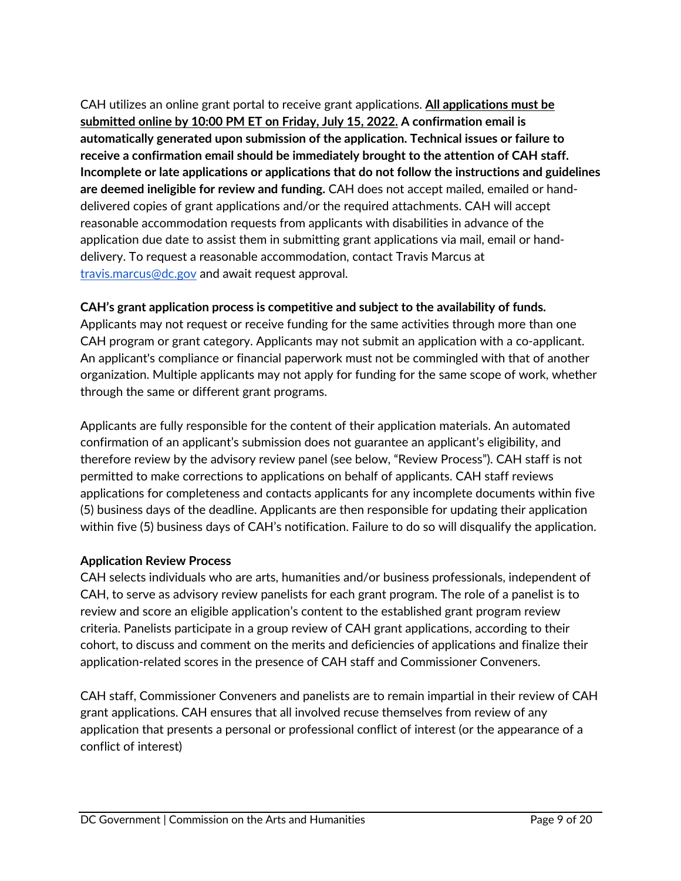CAH utilizes an online grant portal to receive grant applications. **All applications must be submitted online by 10:00 PM ET on Friday, July 15, 2022. A confirmation email is automatically generated upon submission of the application. Technical issues or failure to receive a confirmation email should be immediately brought to the attention of CAH staff. Incomplete or late applications or applications that do not follow the instructions and guidelines are deemed ineligible for review and funding.** CAH does not accept mailed, emailed or handdelivered copies of grant applications and/or the required attachments. CAH will accept reasonable accommodation requests from applicants with disabilities in advance of the application due date to assist them in submitting grant applications via mail, email or handdelivery. To request a reasonable accommodation, contact Travis Marcus at [travis.marcus@dc.gov](mailto:travis.marcus@dc.gov) and await request approval.

## **CAH's grant application process is competitive and subject to the availability of funds.**

Applicants may not request or receive funding for the same activities through more than one CAH program or grant category. Applicants may not submit an application with a co-applicant. An applicant's compliance or financial paperwork must not be commingled with that of another organization. Multiple applicants may not apply for funding for the same scope of work, whether through the same or different grant programs.

Applicants are fully responsible for the content of their application materials. An automated confirmation of an applicant's submission does not guarantee an applicant's eligibility, and therefore review by the advisory review panel (see below, "Review Process"). CAH staff is not permitted to make corrections to applications on behalf of applicants. CAH staff reviews applications for completeness and contacts applicants for any incomplete documents within five (5) business days of the deadline. Applicants are then responsible for updating their application within five (5) business days of CAH's notification. Failure to do so will disqualify the application.

## **Application Review Process**

CAH selects individuals who are arts, humanities and/or business professionals, independent of CAH, to serve as advisory review panelists for each grant program. The role of a panelist is to review and score an eligible application's content to the established grant program review criteria. Panelists participate in a group review of CAH grant applications, according to their cohort, to discuss and comment on the merits and deficiencies of applications and finalize their application-related scores in the presence of CAH staff and Commissioner Conveners.

CAH staff, Commissioner Conveners and panelists are to remain impartial in their review of CAH grant applications. CAH ensures that all involved recuse themselves from review of any application that presents a personal or professional conflict of interest (or the appearance of a conflict of interest)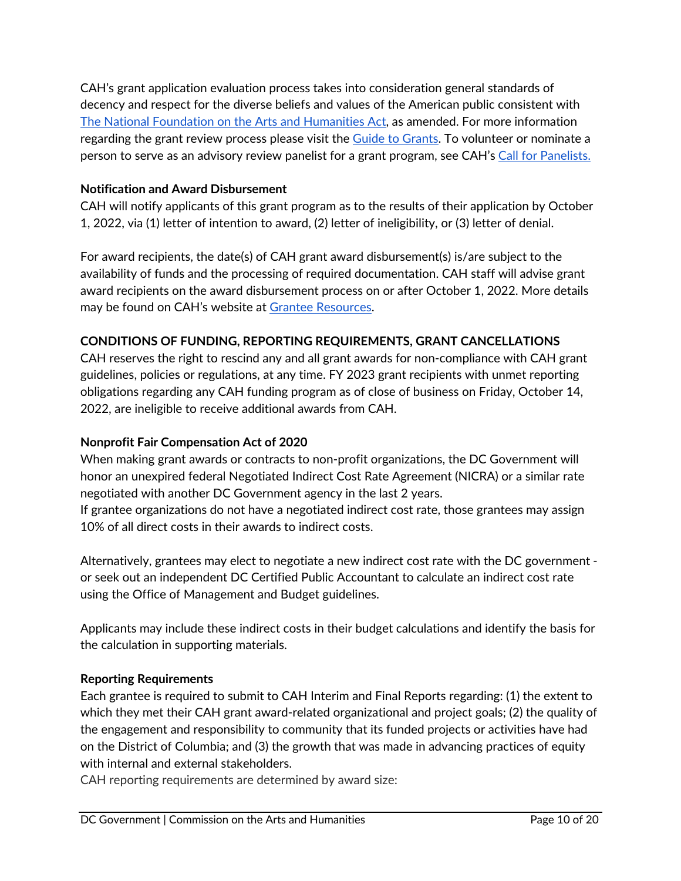CAH's grant application evaluation process takes into consideration general standards of decency and respect for the diverse beliefs and values of the American public consistent with [The National Foundation on the Arts and Humanities Act](https://www.arts.gov/sites/default/files/Legislation.pdf), as amended. For more information regarding the grant review process please visit the [Guide to Grants](https://dcarts.dc.gov/node/1579326). To volunteer or nominate a person to serve as an advisory review panelist for a grant program, see CAH's [Call for Panelists.](https://dcarts.dc.gov/page/fy19-call-grants-panelists)

## **Notification and Award Disbursement**

CAH will notify applicants of this grant program as to the results of their application by October 1, 2022, via (1) letter of intention to award, (2) letter of ineligibility, or (3) letter of denial.

For award recipients, the date(s) of CAH grant award disbursement(s) is/are subject to the availability of funds and the processing of required documentation. CAH staff will advise grant award recipients on the award disbursement process on or after October 1, 2022. More details may be found on CAH's website at [Grantee Resources](http://dcarts.dc.gov/page/managing-grant-awards).

#### <span id="page-9-0"></span>**CONDITIONS OF FUNDING, REPORTING REQUIREMENTS, GRANT CANCELLATIONS**

CAH reserves the right to rescind any and all grant awards for non-compliance with CAH grant guidelines, policies or regulations, at any time. FY 2023 grant recipients with unmet reporting obligations regarding any CAH funding program as of close of business on Friday, October 14, 2022, are ineligible to receive additional awards from CAH.

#### **Nonprofit Fair Compensation Act of 2020**

When making grant awards or contracts to non-profit organizations, the DC Government will honor an unexpired federal Negotiated Indirect Cost Rate Agreement (NICRA) or a similar rate negotiated with another DC Government agency in the last 2 years.

If grantee organizations do not have a negotiated indirect cost rate, those grantees may assign 10% of all direct costs in their awards to indirect costs.

Alternatively, grantees may elect to negotiate a new indirect cost rate with the DC government or seek out an independent DC Certified Public Accountant to calculate an indirect cost rate using the Office of Management and Budget guidelines.

Applicants may include these indirect costs in their budget calculations and identify the basis for the calculation in supporting materials.

#### **Reporting Requirements**

Each grantee is required to submit to CAH Interim and Final Reports regarding: (1) the extent to which they met their CAH grant award-related organizational and project goals; (2) the quality of the engagement and responsibility to community that its funded projects or activities have had on the District of Columbia; and (3) the growth that was made in advancing practices of equity with internal and external stakeholders.

CAH reporting requirements are determined by award size: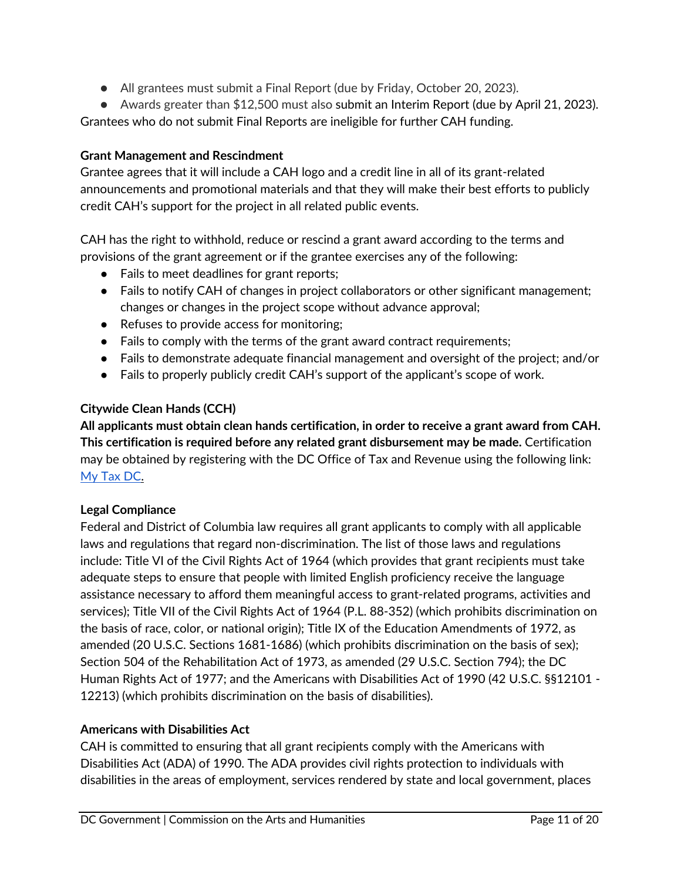● All grantees must submit a Final Report (due by Friday, October 20, 2023).

● Awards greater than \$12,500 must also submit an Interim Report (due by April 21, 2023).

Grantees who do not submit Final Reports are ineligible for further CAH funding.

#### **Grant Management and Rescindment**

Grantee agrees that it will include a CAH logo and a credit line in all of its grant-related announcements and promotional materials and that they will make their best efforts to publicly credit CAH's support for the project in all related public events.

CAH has the right to withhold, reduce or rescind a grant award according to the terms and provisions of the grant agreement or if the grantee exercises any of the following:

- Fails to meet deadlines for grant reports;
- Fails to notify CAH of changes in project collaborators or other significant management; changes or changes in the project scope without advance approval;
- Refuses to provide access for monitoring;
- Fails to comply with the terms of the grant award contract requirements;
- Fails to demonstrate adequate financial management and oversight of the project; and/or
- Fails to properly publicly credit CAH's support of the applicant's scope of work.

#### **Citywide Clean Hands (CCH)**

**All applicants must obtain clean hands certification, in order to receive a grant award from CAH. This certification is required before any related grant disbursement may be made.** Certification may be obtained by registering with the DC Office of Tax and Revenue using the following link: [My Tax DC.](https://mytax.dc.gov/_/)

#### **Legal Compliance**

Federal and District of Columbia law requires all grant applicants to comply with all applicable laws and regulations that regard non-discrimination. The list of those laws and regulations include: Title VI of the Civil Rights Act of 1964 (which provides that grant recipients must take adequate steps to ensure that people with limited English proficiency receive the language assistance necessary to afford them meaningful access to grant-related programs, activities and services); Title VII of the Civil Rights Act of 1964 (P.L. 88-352) (which prohibits discrimination on the basis of race, color, or national origin); Title IX of the Education Amendments of 1972, as amended (20 U.S.C. Sections 1681-1686) (which prohibits discrimination on the basis of sex); Section 504 of the Rehabilitation Act of 1973, as amended (29 U.S.C. Section 794); the DC Human Rights Act of 1977; and the Americans with Disabilities Act of 1990 (42 U.S.C. §§12101 - 12213) (which prohibits discrimination on the basis of disabilities).

## **Americans with Disabilities Act**

CAH is committed to ensuring that all grant recipients comply with the Americans with Disabilities Act (ADA) of 1990. The ADA provides civil rights protection to individuals with disabilities in the areas of employment, services rendered by state and local government, places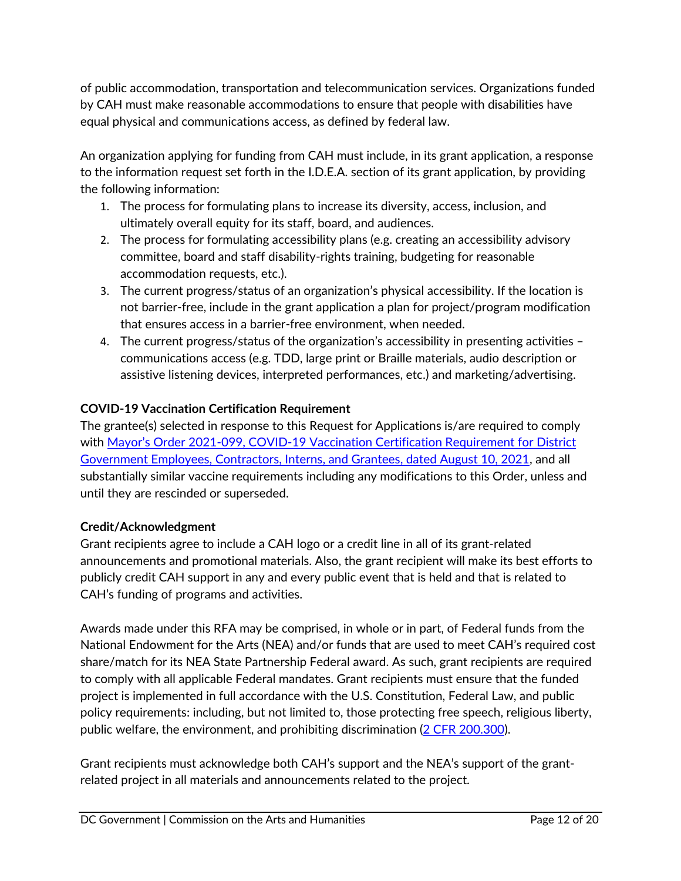of public accommodation, transportation and telecommunication services. Organizations funded by CAH must make reasonable accommodations to ensure that people with disabilities have equal physical and communications access, as defined by federal law.

An organization applying for funding from CAH must include, in its grant application, a response to the information request set forth in the I.D.E.A. section of its grant application, by providing the following information:

- 1. The process for formulating plans to increase its diversity, access, inclusion, and ultimately overall equity for its staff, board, and audiences.
- 2. The process for formulating accessibility plans (e.g. creating an accessibility advisory committee, board and staff disability-rights training, budgeting for reasonable accommodation requests, etc.).
- 3. The current progress/status of an organization's physical accessibility. If the location is not barrier-free, include in the grant application a plan for project/program modification that ensures access in a barrier-free environment, when needed.
- 4. The current progress/status of the organization's accessibility in presenting activities communications access (e.g. TDD, large print or Braille materials, audio description or assistive listening devices, interpreted performances, etc.) and marketing/advertising.

## **COVID-19 Vaccination Certification Requirement**

The grantee(s) selected in response to this Request for Applications is/are required to comply with [Mayor's Order 2021-099, COVID-19 Vaccination Certification Requirement for District](https://coronavirus.dc.gov/sites/default/files/dc/sites/coronavirus/page_content/attachments/2021-147 Declaration of Public Emergency%3B Indoor Mask Requirements%3B Vaccination Requirements for DC Government Employees%3B etc.pdf) [Government Employees, Contractors, Interns, and Grantees, dated August 10, 2021](https://coronavirus.dc.gov/sites/default/files/dc/sites/coronavirus/page_content/attachments/2021-147 Declaration of Public Emergency%3B Indoor Mask Requirements%3B Vaccination Requirements for DC Government Employees%3B etc.pdf), and all substantially similar vaccine requirements including any modifications to this Order, unless and until they are rescinded or superseded.

## **Credit/Acknowledgment**

Grant recipients agree to include a CAH logo or a credit line in all of its grant-related announcements and promotional materials. Also, the grant recipient will make its best efforts to publicly credit CAH support in any and every public event that is held and that is related to CAH's funding of programs and activities.

Awards made under this RFA may be comprised, in whole or in part, of Federal funds from the National Endowment for the Arts (NEA) and/or funds that are used to meet CAH's required cost share/match for its NEA State Partnership Federal award. As such, grant recipients are required to comply with all applicable Federal mandates. Grant recipients must ensure that the funded project is implemented in full accordance with the U.S. Constitution, Federal Law, and public policy requirements: including, but not limited to, those protecting free speech, religious liberty, public welfare, the environment, and prohibiting discrimination [\(2 CFR 200.300](https://www.ecfr.gov/current/title-2/subtitle-A/chapter-II/part-200/subpart-D/section-200.300)).

Grant recipients must acknowledge both CAH's support and the NEA's support of the grantrelated project in all materials and announcements related to the project.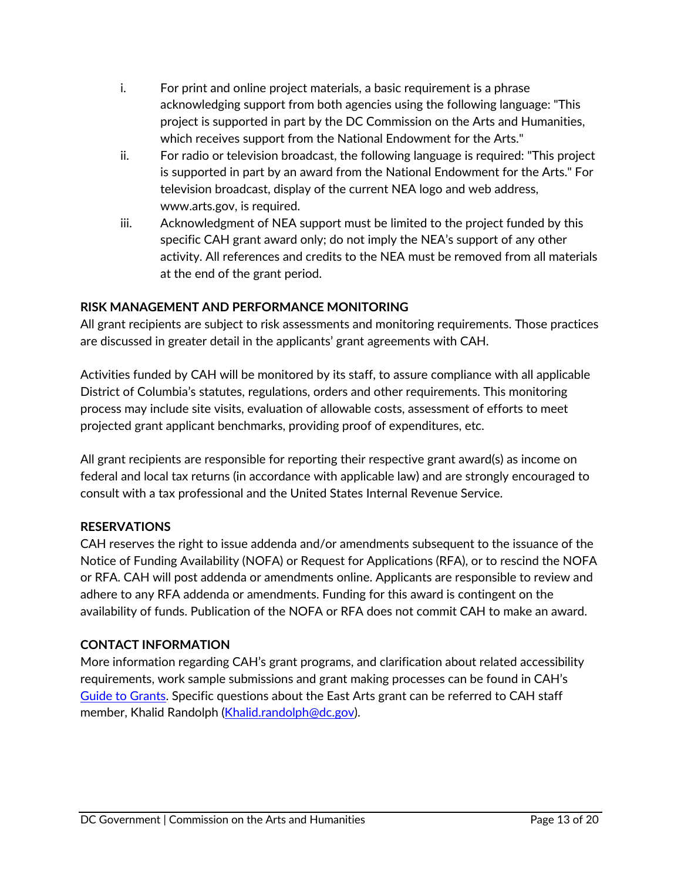- i. For print and online project materials, a basic requirement is a phrase acknowledging support from both agencies using the following language: "This project is supported in part by the DC Commission on the Arts and Humanities, which receives support from the National Endowment for the Arts."
- ii. For radio or television broadcast, the following language is required: "This project is supported in part by an award from the National Endowment for the Arts." For television broadcast, display of the current NEA logo and web address, www.arts.gov, is required.
- <span id="page-12-0"></span>iii. Acknowledgment of NEA support must be limited to the project funded by this specific CAH grant award only; do not imply the NEA's support of any other activity. All references and credits to the NEA must be removed from all materials at the end of the grant period.

## **RISK MANAGEMENT AND PERFORMANCE MONITORING**

All grant recipients are subject to risk assessments and monitoring requirements. Those practices are discussed in greater detail in the applicants' grant agreements with CAH.

Activities funded by CAH will be monitored by its staff, to assure compliance with all applicable District of Columbia's statutes, regulations, orders and other requirements. This monitoring process may include site visits, evaluation of allowable costs, assessment of efforts to meet projected grant applicant benchmarks, providing proof of expenditures, etc.

All grant recipients are responsible for reporting their respective grant award(s) as income on federal and local tax returns (in accordance with applicable law) and are strongly encouraged to consult with a tax professional and the United States Internal Revenue Service.

#### **RESERVATIONS**

CAH reserves the right to issue addenda and/or amendments subsequent to the issuance of the Notice of Funding Availability (NOFA) or Request for Applications (RFA), or to rescind the NOFA or RFA. CAH will post addenda or amendments online. Applicants are responsible to review and adhere to any RFA addenda or amendments. Funding for this award is contingent on the availability of funds. Publication of the NOFA or RFA does not commit CAH to make an award.

#### **CONTACT INFORMATION**

More information regarding CAH's grant programs, and clarification about related accessibility requirements, work sample submissions and grant making processes can be found in CAH's [Guide to Grants](https://dcarts.dc.gov/node/1579326). Specific questions about the East Arts grant can be referred to CAH staff member, Khalid Randolph [\(Khalid.randolph@dc.gov](mailto:Khalid.randolph@dc.gov)).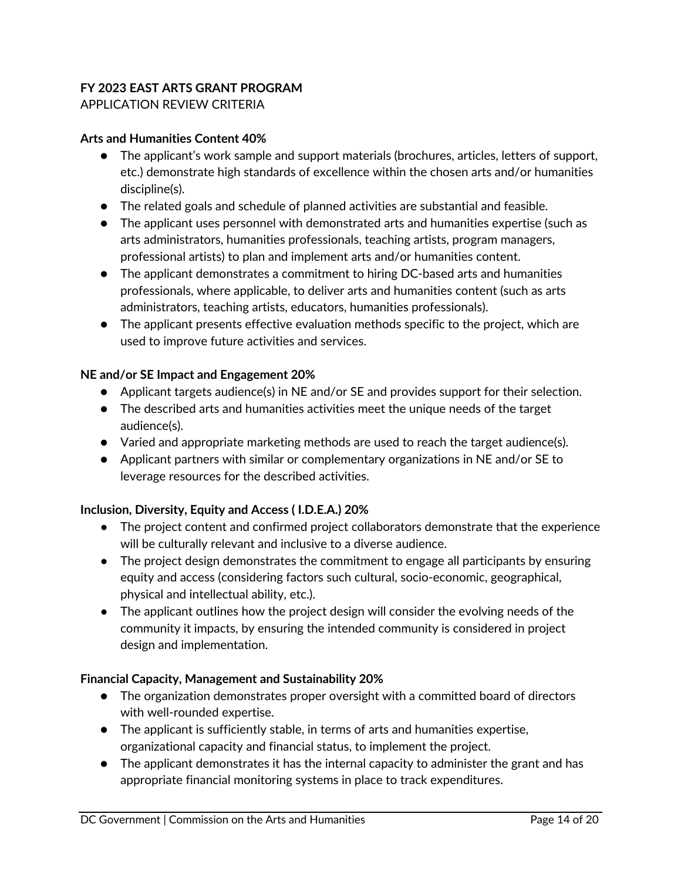#### **FY 2023 EAST ARTS GRANT PROGRAM** APPLICATION REVIEW CRITERIA

#### **Arts and Humanities Content 40%**

- <span id="page-13-0"></span>● The applicant's work sample and support materials (brochures, articles, letters of support, etc.) demonstrate high standards of excellence within the chosen arts and/or humanities discipline(s).
- The related goals and schedule of planned activities are substantial and feasible.
- The applicant uses personnel with demonstrated arts and humanities expertise (such as arts administrators, humanities professionals, teaching artists, program managers, professional artists) to plan and implement arts and/or humanities content.
- The applicant demonstrates a commitment to hiring DC-based arts and humanities professionals, where applicable, to deliver arts and humanities content (such as arts administrators, teaching artists, educators, humanities professionals).
- The applicant presents effective evaluation methods specific to the project, which are used to improve future activities and services.

#### **NE and/or SE Impact and Engagement 20%**

- Applicant targets audience(s) in NE and/or SE and provides support for their selection.
- The described arts and humanities activities meet the unique needs of the target audience(s).
- Varied and appropriate marketing methods are used to reach the target audience(s).
- Applicant partners with similar or complementary organizations in NE and/or SE to leverage resources for the described activities.

#### **Inclusion, Diversity, Equity and Access ( I.D.E.A.) 20%**

- The project content and confirmed project collaborators demonstrate that the experience will be culturally relevant and inclusive to a diverse audience.
- The project design demonstrates the commitment to engage all participants by ensuring equity and access (considering factors such cultural, socio-economic, geographical, physical and intellectual ability, etc.).
- The applicant outlines how the project design will consider the evolving needs of the community it impacts, by ensuring the intended community is considered in project design and implementation.

#### **Financial Capacity, Management and Sustainability 20%**

- The organization demonstrates proper oversight with a committed board of directors with well-rounded expertise.
- The applicant is sufficiently stable, in terms of arts and humanities expertise, organizational capacity and financial status, to implement the project.
- The applicant demonstrates it has the internal capacity to administer the grant and has appropriate financial monitoring systems in place to track expenditures.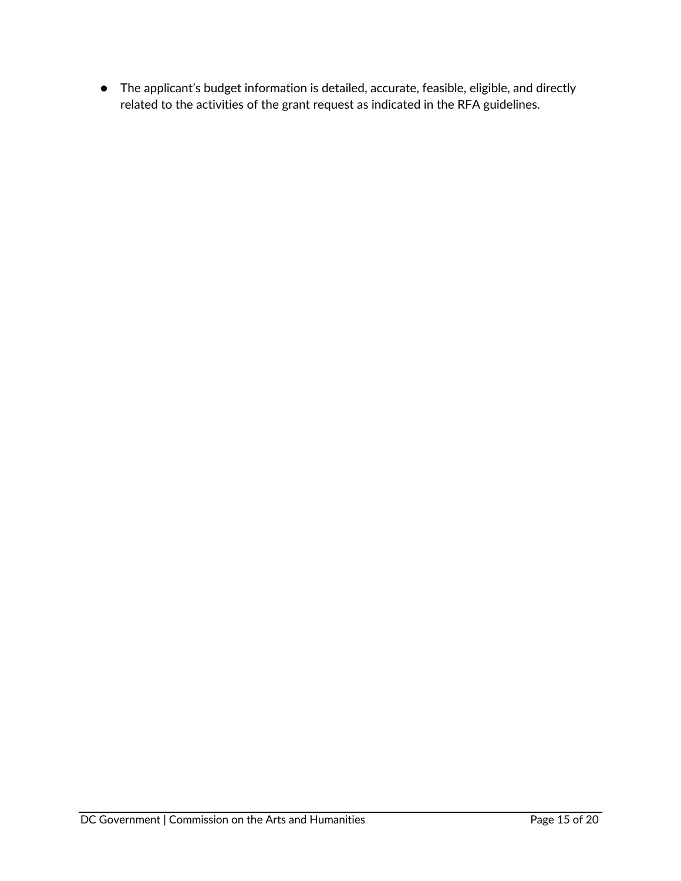● The applicant's budget information is detailed, accurate, feasible, eligible, and directly related to the activities of the grant request as indicated in the RFA guidelines.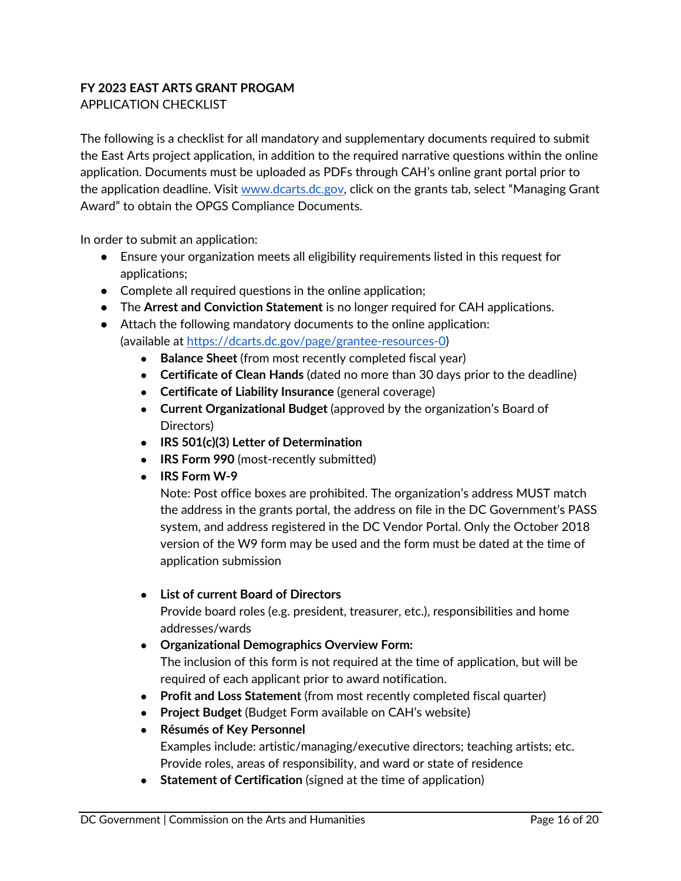#### <span id="page-15-0"></span>**FY 2023 EAST ARTS GRANT PROGAM** APPLICATION CHECKLIST

The following is a checklist for all mandatory and supplementary documents required to submit the East Arts project application, in addition to the required narrative questions within the online application. Documents must be uploaded as PDFs through CAH's online grant portal prior to the application deadline. Visit [www.dcarts.dc.gov](http://www.dcarts.dc.gov/), click on the grants tab, select "Managing Grant Award" to obtain the OPGS Compliance Documents.

In order to submit an application:

- Ensure your organization meets all eligibility requirements listed in this request for applications;
- Complete all required questions in the online application;
- The **Arrest and Conviction Statement** is no longer required for CAH applications.
- Attach the following mandatory documents to the online application: (available at<https://dcarts.dc.gov/page/grantee-resources-0>)
	- **Balance Sheet** (from most recently completed fiscal year)
	- **Certificate of Clean Hands** (dated no more than 30 days prior to the deadline)
	- **Certificate of Liability Insurance** (general coverage)
	- **Current Organizational Budget** (approved by the organization's Board of Directors)
	- **IRS 501(c)(3) Letter of Determination**
	- **IRS Form 990** (most-recently submitted)
	- **IRS Form W-9**

Note: Post office boxes are prohibited. The organization's address MUST match the address in the grants portal, the address on file in the DC Government's PASS system, and address registered in the DC Vendor Portal. Only the October 2018 version of the W9 form may be used and the form must be dated at the time of application submission

#### ● **List of current Board of Directors**

Provide board roles (e.g. president, treasurer, etc.), responsibilities and home addresses/wards

## ● **Organizational Demographics Overview Form:** The inclusion of this form is not required at the time of application, but will be required of each applicant prior to award notification.

- **Profit and Loss Statement** (from most recently completed fiscal quarter)
- **Project Budget** (Budget Form available on CAH's website)
- **Résumés of Key Personnel**  Examples include: artistic/managing/executive directors; teaching artists; etc.
- Provide roles, areas of responsibility, and ward or state of residence ● **Statement of Certification** (signed at the time of application)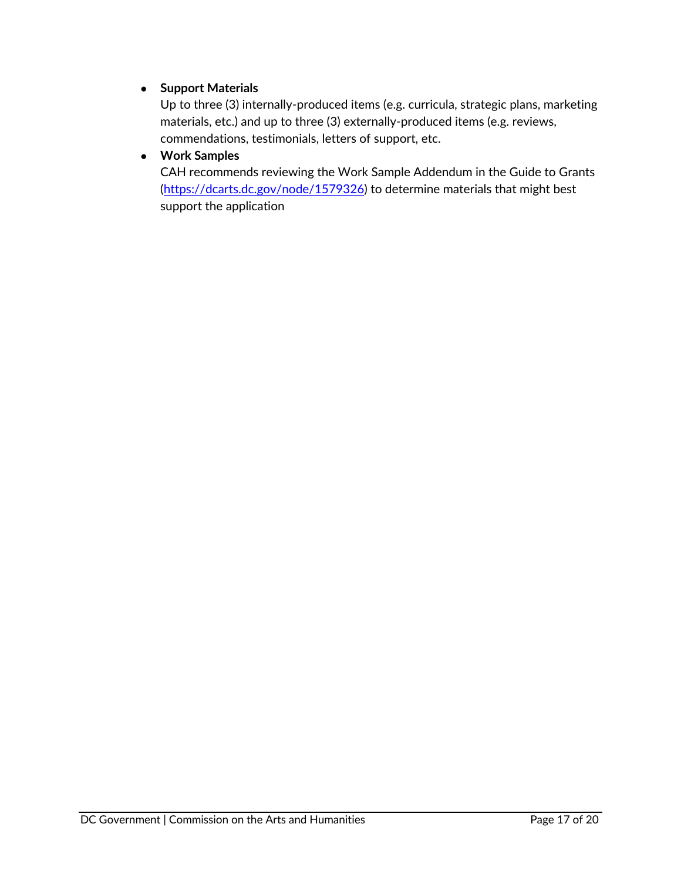### ● **Support Materials**

Up to three (3) internally-produced items (e.g. curricula, strategic plans, marketing materials, etc.) and up to three (3) externally-produced items (e.g. reviews, commendations, testimonials, letters of support, etc.

#### ● **Work Samples**

CAH recommends reviewing the Work Sample Addendum in the Guide to Grants [\(https://dcarts.dc.gov/node/1579326](https://dcarts.dc.gov/node/1579326)) to determine materials that might best support the application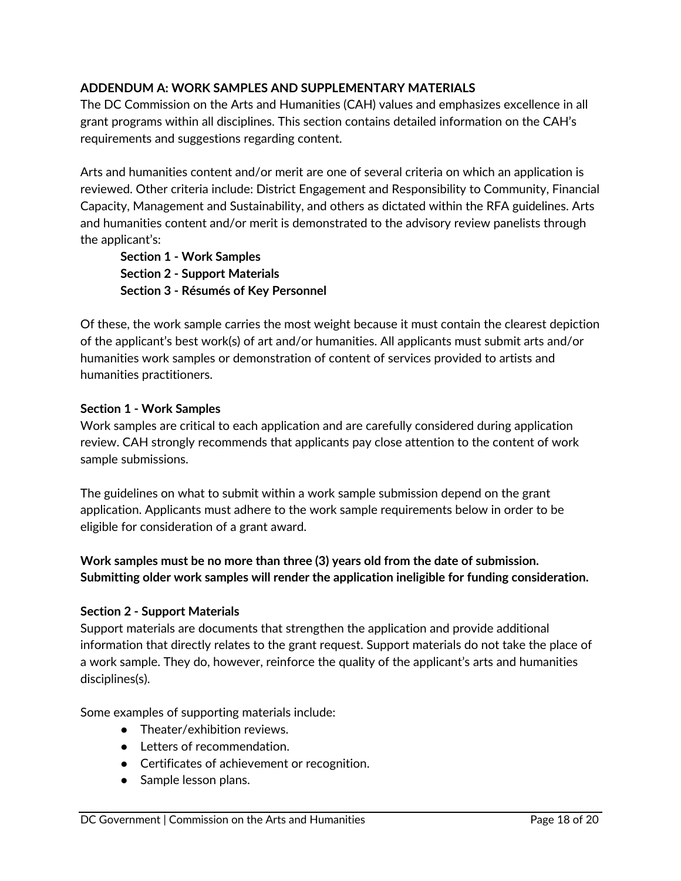#### <span id="page-17-0"></span>**ADDENDUM A: WORK SAMPLES AND SUPPLEMENTARY MATERIALS**

The DC Commission on the Arts and Humanities (CAH) values and emphasizes excellence in all grant programs within all disciplines. This section contains detailed information on the CAH's requirements and suggestions regarding content.

Arts and humanities content and/or merit are one of several criteria on which an application is reviewed. Other criteria include: District Engagement and Responsibility to Community, Financial Capacity, Management and Sustainability, and others as dictated within the RFA guidelines. Arts and humanities content and/or merit is demonstrated to the advisory review panelists through the applicant's:

**Section 1 - Work Samples Section 2 - Support Materials Section 3 - Résumés of Key Personnel**

Of these, the work sample carries the most weight because it must contain the clearest depiction of the applicant's best work(s) of art and/or humanities. All applicants must submit arts and/or humanities work samples or demonstration of content of services provided to artists and humanities practitioners.

#### **Section 1 - Work Samples**

Work samples are critical to each application and are carefully considered during application review. CAH strongly recommends that applicants pay close attention to the content of work sample submissions.

The guidelines on what to submit within a work sample submission depend on the grant application. Applicants must adhere to the work sample requirements below in order to be eligible for consideration of a grant award.

## **Work samples must be no more than three (3) years old from the date of submission. Submitting older work samples will render the application ineligible for funding consideration.**

#### **Section 2 - Support Materials**

Support materials are documents that strengthen the application and provide additional information that directly relates to the grant request. Support materials do not take the place of a work sample. They do, however, reinforce the quality of the applicant's arts and humanities disciplines(s).

Some examples of supporting materials include:

- Theater/exhibition reviews.
- Letters of recommendation.
- Certificates of achievement or recognition.
- Sample lesson plans.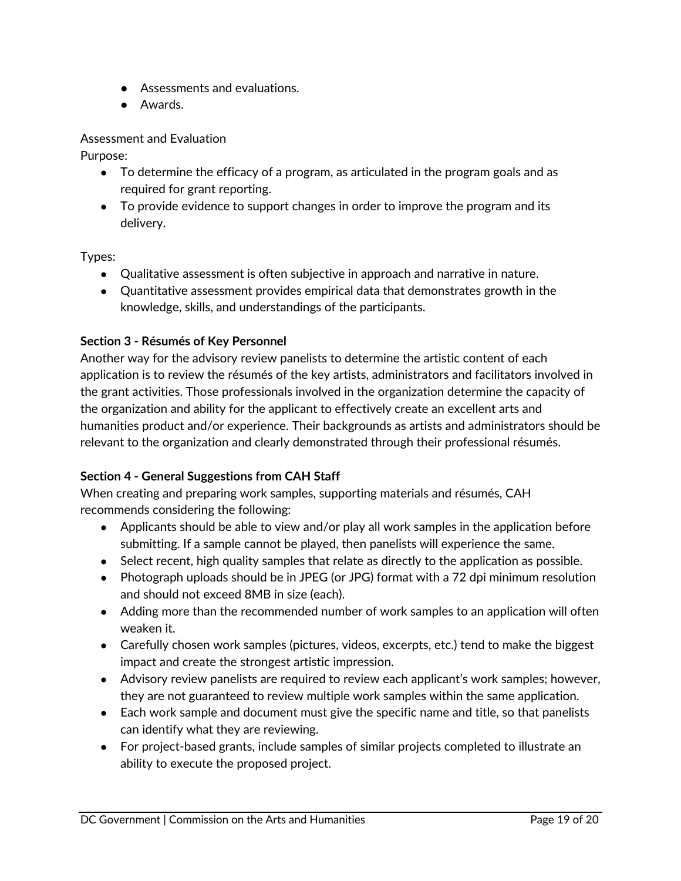- Assessments and evaluations.
- Awards.

Assessment and Evaluation

Purpose:

- To determine the efficacy of a program, as articulated in the program goals and as required for grant reporting.
- To provide evidence to support changes in order to improve the program and its delivery.

Types:

- Qualitative assessment is often subjective in approach and narrative in nature.
- Quantitative assessment provides empirical data that demonstrates growth in the knowledge, skills, and understandings of the participants.

#### **Section 3 - Résumés of Key Personnel**

Another way for the advisory review panelists to determine the artistic content of each application is to review the résumés of the key artists, administrators and facilitators involved in the grant activities. Those professionals involved in the organization determine the capacity of the organization and ability for the applicant to effectively create an excellent arts and humanities product and/or experience. Their backgrounds as artists and administrators should be relevant to the organization and clearly demonstrated through their professional résumés.

#### **Section 4 - General Suggestions from CAH Staff**

When creating and preparing work samples, supporting materials and résumés, CAH recommends considering the following:

- Applicants should be able to view and/or play all work samples in the application before submitting. If a sample cannot be played, then panelists will experience the same.
- Select recent, high quality samples that relate as directly to the application as possible.
- Photograph uploads should be in JPEG (or JPG) format with a 72 dpi minimum resolution and should not exceed 8MB in size (each).
- Adding more than the recommended number of work samples to an application will often weaken it.
- Carefully chosen work samples (pictures, videos, excerpts, etc.) tend to make the biggest impact and create the strongest artistic impression.
- Advisory review panelists are required to review each applicant's work samples; however, they are not guaranteed to review multiple work samples within the same application.
- Each work sample and document must give the specific name and title, so that panelists can identify what they are reviewing.
- For project-based grants, include samples of similar projects completed to illustrate an ability to execute the proposed project.